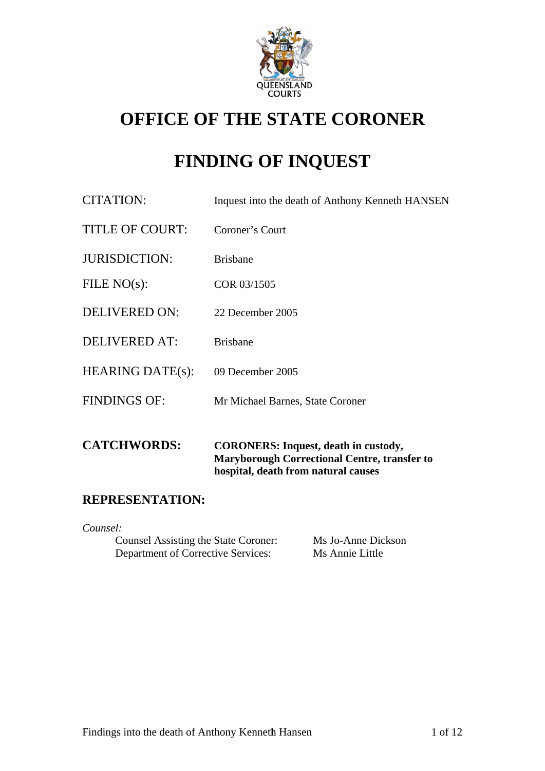

# **OFFICE OF THE STATE CORONER**

# **FINDING OF INQUEST**

| <b>CATCHWORDS:</b>      | <b>CORONERS:</b> Inquest, death in custody,<br><b>Maryborough Correctional Centre, transfer to</b><br>hospital, death from natural causes |
|-------------------------|-------------------------------------------------------------------------------------------------------------------------------------------|
| <b>FINDINGS OF:</b>     | Mr Michael Barnes, State Coroner                                                                                                          |
| <b>HEARING DATE(s):</b> | 09 December 2005                                                                                                                          |
| DELIVERED AT:           | <b>Brisbane</b>                                                                                                                           |
| <b>DELIVERED ON:</b>    | 22 December 2005                                                                                                                          |
| FILE $NO(s)$ :          | COR 03/1505                                                                                                                               |
| <b>JURISDICTION:</b>    | <b>Brisbane</b>                                                                                                                           |
| <b>TITLE OF COURT:</b>  | Coroner's Court                                                                                                                           |
| <b>CITATION:</b>        | Inquest into the death of Anthony Kenneth HANSEN                                                                                          |

# **REPRESENTATION:**

*Counsel:* 

| Counsel Assisting the State Coroner: | Ms Jo-Anne Dickson |
|--------------------------------------|--------------------|
| Department of Corrective Services:   | Ms Annie Little    |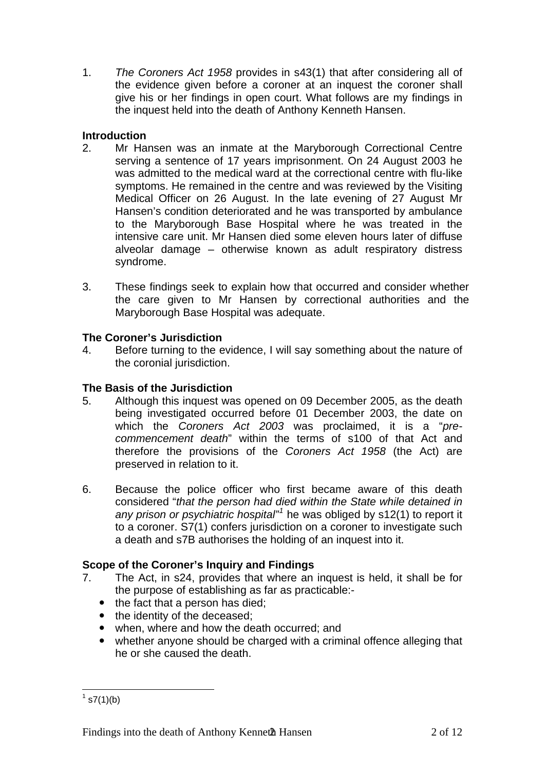1. *The Coroners Act 1958* provides in s43(1) that after considering all of the evidence given before a coroner at an inquest the coroner shall give his or her findings in open court. What follows are my findings in the inquest held into the death of Anthony Kenneth Hansen.

### **Introduction**

- 2. Mr Hansen was an inmate at the Maryborough Correctional Centre serving a sentence of 17 years imprisonment. On 24 August 2003 he was admitted to the medical ward at the correctional centre with flu-like symptoms. He remained in the centre and was reviewed by the Visiting Medical Officer on 26 August. In the late evening of 27 August Mr Hansen's condition deteriorated and he was transported by ambulance to the Maryborough Base Hospital where he was treated in the intensive care unit. Mr Hansen died some eleven hours later of diffuse alveolar damage – otherwise known as adult respiratory distress syndrome.
- 3. These findings seek to explain how that occurred and consider whether the care given to Mr Hansen by correctional authorities and the Maryborough Base Hospital was adequate.

### **The Coroner's Jurisdiction**

4. Before turning to the evidence, I will say something about the nature of the coronial jurisdiction.

# **The Basis of the Jurisdiction**

- 5. Although this inquest was opened on 09 December 2005, as the death being investigated occurred before 01 December 2003, the date on which the *Coroners Act 2003* was proclaimed, it is a "*precommencement death*" within the terms of s100 of that Act and therefore the provisions of the *Coroners Act 1958* (the Act) are preserved in relation to it.
- 6. Because the police officer who first became aware of this death considered "*that the person had died within the State while detained in any prison or psychiatric hospital"[1](#page-1-0)* he was obliged by s12(1) to report it to a coroner. S7(1) confers jurisdiction on a coroner to investigate such a death and s7B authorises the holding of an inquest into it.

# **Scope of the Coroner's Inquiry and Findings**

- 7. The Act, in s24, provides that where an inquest is held, it shall be for the purpose of establishing as far as practicable:-
	- $\bullet$  the fact that a person has died;
	- the identity of the deceased;
	- when, where and how the death occurred; and
	- whether anyone should be charged with a criminal offence alleging that he or she caused the death.

<span id="page-1-0"></span> $\frac{1}{1}$  s7(1)(b)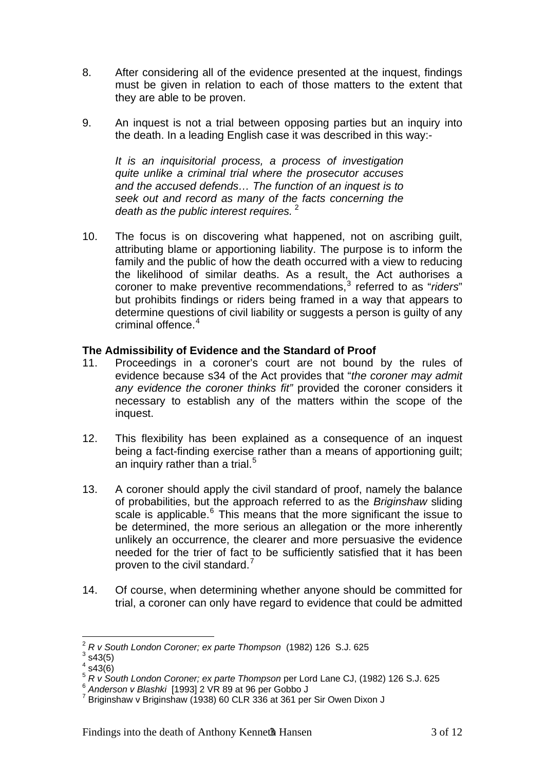- 8. After considering all of the evidence presented at the inquest, findings must be given in relation to each of those matters to the extent that they are able to be proven.
- 9. An inquest is not a trial between opposing parties but an inquiry into the death. In a leading English case it was described in this way:-

*It is an inquisitorial process, a process of investigation quite unlike a criminal trial where the prosecutor accuses and the accused defends… The function of an inquest is to seek out and record as many of the facts concerning the death as the public interest requires.* [2](#page-2-0)

10. The focus is on discovering what happened, not on ascribing guilt, attributing blame or apportioning liability. The purpose is to inform the family and the public of how the death occurred with a view to reducing the likelihood of similar deaths. As a result, the Act authorises a coroner to make preventive recommendations,<sup>[3](#page-2-1)</sup> referred to as "riders" but prohibits findings or riders being framed in a way that appears to determine questions of civil liability or suggests a person is guilty of any criminal offence.<sup>[4](#page-2-2)</sup>

#### **The Admissibility of Evidence and the Standard of Proof**

- 11. Proceedings in a coroner's court are not bound by the rules of evidence because s34 of the Act provides that "*the coroner may admit any evidence the coroner thinks fit"* provided the coroner considers it necessary to establish any of the matters within the scope of the inquest.
- 12. This flexibility has been explained as a consequence of an inquest being a fact-finding exercise rather than a means of apportioning guilt; an inquiry rather than a trial. $5$
- 13. A coroner should apply the civil standard of proof, namely the balance of probabilities, but the approach referred to as the *Briginshaw* sliding scale is applicable.<sup>[6](#page-2-4)</sup> This means that the more significant the issue to be determined, the more serious an allegation or the more inherently unlikely an occurrence, the clearer and more persuasive the evidence needed for the trier of fact to be sufficiently satisfied that it has been proven to the civil standard.<sup>[7](#page-2-5)</sup>
- 14. Of course, when determining whether anyone should be committed for trial, a coroner can only have regard to evidence that could be admitted

1

<sup>&</sup>lt;sup>2</sup> R v South London Coroner; ex parte Thompson (1982) 126 S.J. 625

<span id="page-2-1"></span><span id="page-2-0"></span> $3$  s43(5)

 $4$  s43(6)

<span id="page-2-3"></span><span id="page-2-2"></span><sup>&</sup>lt;sup>5</sup> *R v South London Coroner; ex parte Thompson* per Lord Lane CJ, (1982) 126 S.J. 625<br><sup>6</sup> Anderson v Blashki [1993] 2 VR 89 at 96 per Gobbo J

<span id="page-2-5"></span><span id="page-2-4"></span> $7$  Briginshaw v Briginshaw (1938) 60 CLR 336 at 361 per Sir Owen Dixon J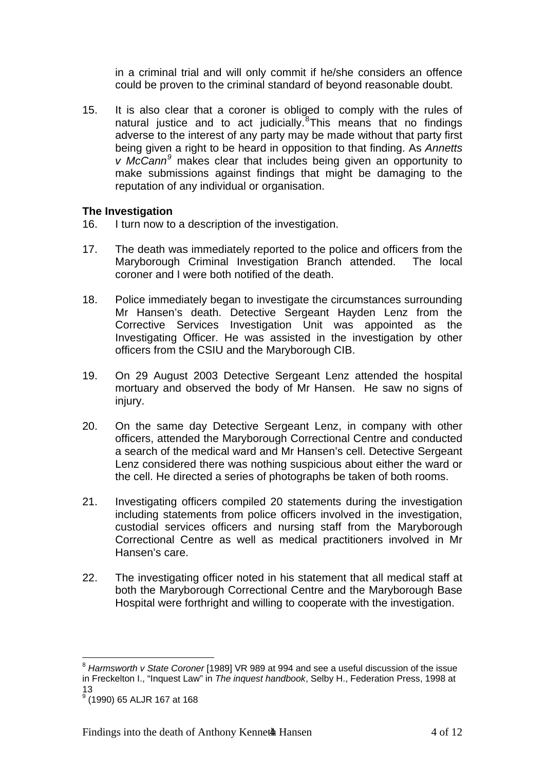in a criminal trial and will only commit if he/she considers an offence could be proven to the criminal standard of beyond reasonable doubt.

15. It is also clear that a coroner is obliged to comply with the rules of natural justice and to act judicially.<sup>[8](#page-3-0)</sup>This means that no findings adverse to the interest of any party may be made without that party first being given a right to be heard in opposition to that finding. As *Annetts v McCann[9](#page-3-1)* makes clear that includes being given an opportunity to make submissions against findings that might be damaging to the reputation of any individual or organisation.

#### **The Investigation**

- 16. I turn now to a description of the investigation.
- 17. The death was immediately reported to the police and officers from the Maryborough Criminal Investigation Branch attended. The local coroner and I were both notified of the death.
- 18. Police immediately began to investigate the circumstances surrounding Mr Hansen's death. Detective Sergeant Hayden Lenz from the Corrective Services Investigation Unit was appointed as the Investigating Officer. He was assisted in the investigation by other officers from the CSIU and the Maryborough CIB.
- 19. On 29 August 2003 Detective Sergeant Lenz attended the hospital mortuary and observed the body of Mr Hansen. He saw no signs of injury.
- 20. On the same day Detective Sergeant Lenz, in company with other officers, attended the Maryborough Correctional Centre and conducted a search of the medical ward and Mr Hansen's cell. Detective Sergeant Lenz considered there was nothing suspicious about either the ward or the cell. He directed a series of photographs be taken of both rooms.
- 21. Investigating officers compiled 20 statements during the investigation including statements from police officers involved in the investigation, custodial services officers and nursing staff from the Maryborough Correctional Centre as well as medical practitioners involved in Mr Hansen's care.
- 22. The investigating officer noted in his statement that all medical staff at both the Maryborough Correctional Centre and the Maryborough Base Hospital were forthright and willing to cooperate with the investigation.

1

<span id="page-3-0"></span><sup>8</sup> *Harmsworth v State Coroner* [1989] VR 989 at 994 and see a useful discussion of the issue in Freckelton I., "Inquest Law" in *The inquest handbook*, Selby H., Federation Press, 1998 at 13

<span id="page-3-1"></span><sup>&</sup>lt;sup>9</sup> (1990) 65 ALJR 167 at 168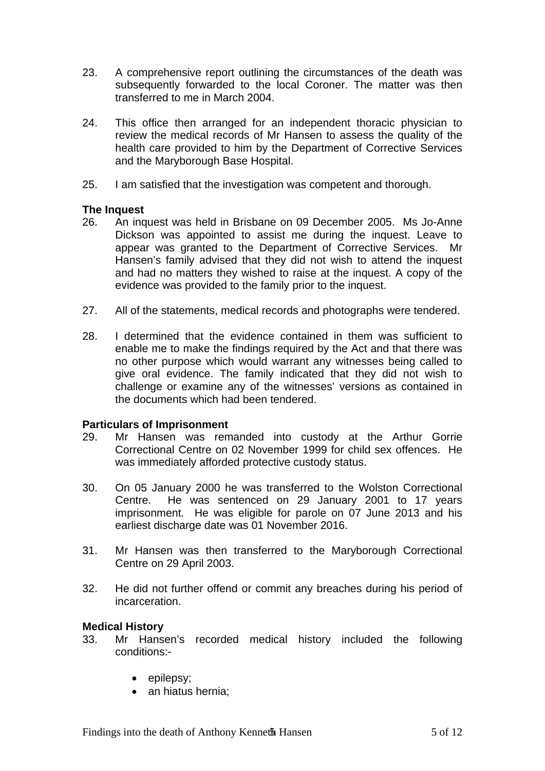- 23. A comprehensive report outlining the circumstances of the death was subsequently forwarded to the local Coroner. The matter was then transferred to me in March 2004.
- 24. This office then arranged for an independent thoracic physician to review the medical records of Mr Hansen to assess the quality of the health care provided to him by the Department of Corrective Services and the Maryborough Base Hospital.
- 25. I am satisfied that the investigation was competent and thorough.

#### **The Inquest**

- 26. An inquest was held in Brisbane on 09 December 2005. Ms Jo-Anne Dickson was appointed to assist me during the inquest. Leave to appear was granted to the Department of Corrective Services. Mr Hansen's family advised that they did not wish to attend the inquest and had no matters they wished to raise at the inquest. A copy of the evidence was provided to the family prior to the inquest.
- 27. All of the statements, medical records and photographs were tendered.
- 28. I determined that the evidence contained in them was sufficient to enable me to make the findings required by the Act and that there was no other purpose which would warrant any witnesses being called to give oral evidence. The family indicated that they did not wish to challenge or examine any of the witnesses' versions as contained in the documents which had been tendered.

#### **Particulars of Imprisonment**

- 29. Mr Hansen was remanded into custody at the Arthur Gorrie Correctional Centre on 02 November 1999 for child sex offences. He was immediately afforded protective custody status.
- 30. On 05 January 2000 he was transferred to the Wolston Correctional Centre. He was sentenced on 29 January 2001 to 17 years imprisonment. He was eligible for parole on 07 June 2013 and his earliest discharge date was 01 November 2016.
- 31. Mr Hansen was then transferred to the Maryborough Correctional Centre on 29 April 2003.
- 32. He did not further offend or commit any breaches during his period of incarceration.

#### **Medical History**

- 33. Mr Hansen's recorded medical history included the following conditions:-
	- epilepsy;
	- an hiatus hernia: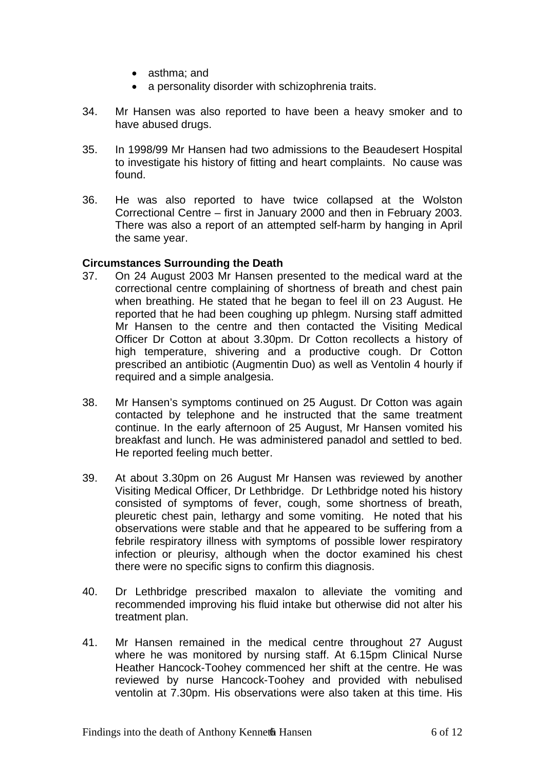- asthma; and
- a personality disorder with schizophrenia traits.
- 34. Mr Hansen was also reported to have been a heavy smoker and to have abused drugs.
- 35. In 1998/99 Mr Hansen had two admissions to the Beaudesert Hospital to investigate his history of fitting and heart complaints. No cause was found.
- 36. He was also reported to have twice collapsed at the Wolston Correctional Centre – first in January 2000 and then in February 2003. There was also a report of an attempted self-harm by hanging in April the same year.

#### **Circumstances Surrounding the Death**

- 37. On 24 August 2003 Mr Hansen presented to the medical ward at the correctional centre complaining of shortness of breath and chest pain when breathing. He stated that he began to feel ill on 23 August. He reported that he had been coughing up phlegm. Nursing staff admitted Mr Hansen to the centre and then contacted the Visiting Medical Officer Dr Cotton at about 3.30pm. Dr Cotton recollects a history of high temperature, shivering and a productive cough. Dr Cotton prescribed an antibiotic (Augmentin Duo) as well as Ventolin 4 hourly if required and a simple analgesia.
- 38. Mr Hansen's symptoms continued on 25 August. Dr Cotton was again contacted by telephone and he instructed that the same treatment continue. In the early afternoon of 25 August, Mr Hansen vomited his breakfast and lunch. He was administered panadol and settled to bed. He reported feeling much better.
- 39. At about 3.30pm on 26 August Mr Hansen was reviewed by another Visiting Medical Officer, Dr Lethbridge. Dr Lethbridge noted his history consisted of symptoms of fever, cough, some shortness of breath, pleuretic chest pain, lethargy and some vomiting. He noted that his observations were stable and that he appeared to be suffering from a febrile respiratory illness with symptoms of possible lower respiratory infection or pleurisy, although when the doctor examined his chest there were no specific signs to confirm this diagnosis.
- 40. Dr Lethbridge prescribed maxalon to alleviate the vomiting and recommended improving his fluid intake but otherwise did not alter his treatment plan.
- 41. Mr Hansen remained in the medical centre throughout 27 August where he was monitored by nursing staff. At 6.15pm Clinical Nurse Heather Hancock-Toohey commenced her shift at the centre. He was reviewed by nurse Hancock-Toohey and provided with nebulised ventolin at 7.30pm. His observations were also taken at this time. His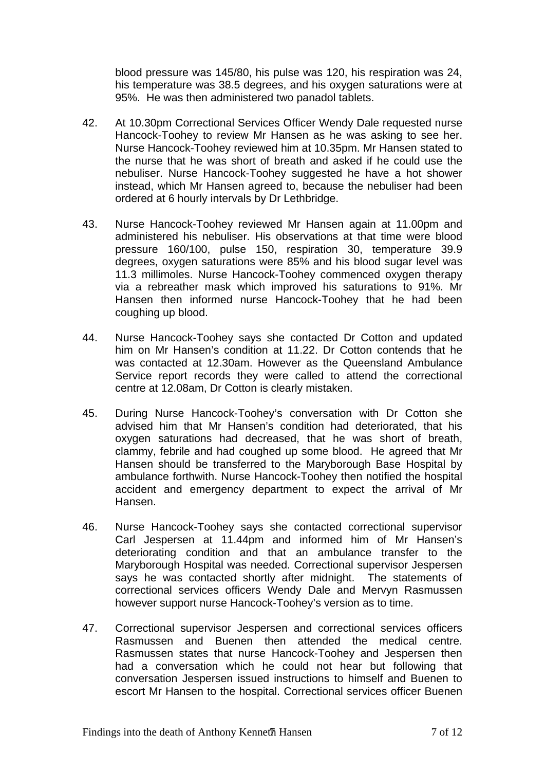blood pressure was 145/80, his pulse was 120, his respiration was 24, his temperature was 38.5 degrees, and his oxygen saturations were at 95%. He was then administered two panadol tablets.

- 42. At 10.30pm Correctional Services Officer Wendy Dale requested nurse Hancock-Toohey to review Mr Hansen as he was asking to see her. Nurse Hancock-Toohey reviewed him at 10.35pm. Mr Hansen stated to the nurse that he was short of breath and asked if he could use the nebuliser. Nurse Hancock-Toohey suggested he have a hot shower instead, which Mr Hansen agreed to, because the nebuliser had been ordered at 6 hourly intervals by Dr Lethbridge.
- 43. Nurse Hancock-Toohey reviewed Mr Hansen again at 11.00pm and administered his nebuliser. His observations at that time were blood pressure 160/100, pulse 150, respiration 30, temperature 39.9 degrees, oxygen saturations were 85% and his blood sugar level was 11.3 millimoles. Nurse Hancock-Toohey commenced oxygen therapy via a rebreather mask which improved his saturations to 91%. Mr Hansen then informed nurse Hancock-Toohey that he had been coughing up blood.
- 44. Nurse Hancock-Toohey says she contacted Dr Cotton and updated him on Mr Hansen's condition at 11.22. Dr Cotton contends that he was contacted at 12.30am. However as the Queensland Ambulance Service report records they were called to attend the correctional centre at 12.08am, Dr Cotton is clearly mistaken.
- 45. During Nurse Hancock-Toohey's conversation with Dr Cotton she advised him that Mr Hansen's condition had deteriorated, that his oxygen saturations had decreased, that he was short of breath, clammy, febrile and had coughed up some blood. He agreed that Mr Hansen should be transferred to the Maryborough Base Hospital by ambulance forthwith. Nurse Hancock-Toohey then notified the hospital accident and emergency department to expect the arrival of Mr Hansen.
- 46. Nurse Hancock-Toohey says she contacted correctional supervisor Carl Jespersen at 11.44pm and informed him of Mr Hansen's deteriorating condition and that an ambulance transfer to the Maryborough Hospital was needed. Correctional supervisor Jespersen says he was contacted shortly after midnight. The statements of correctional services officers Wendy Dale and Mervyn Rasmussen however support nurse Hancock-Toohey's version as to time.
- 47. Correctional supervisor Jespersen and correctional services officers Rasmussen and Buenen then attended the medical centre. Rasmussen states that nurse Hancock-Toohey and Jespersen then had a conversation which he could not hear but following that conversation Jespersen issued instructions to himself and Buenen to escort Mr Hansen to the hospital. Correctional services officer Buenen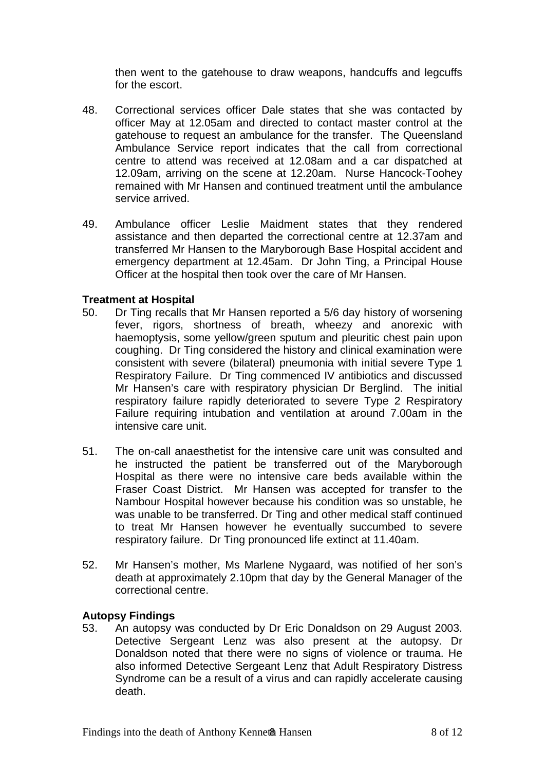then went to the gatehouse to draw weapons, handcuffs and legcuffs for the escort.

- 48. Correctional services officer Dale states that she was contacted by officer May at 12.05am and directed to contact master control at the gatehouse to request an ambulance for the transfer. The Queensland Ambulance Service report indicates that the call from correctional centre to attend was received at 12.08am and a car dispatched at 12.09am, arriving on the scene at 12.20am. Nurse Hancock-Toohey remained with Mr Hansen and continued treatment until the ambulance service arrived.
- 49. Ambulance officer Leslie Maidment states that they rendered assistance and then departed the correctional centre at 12.37am and transferred Mr Hansen to the Maryborough Base Hospital accident and emergency department at 12.45am. Dr John Ting, a Principal House Officer at the hospital then took over the care of Mr Hansen.

#### **Treatment at Hospital**

- 50. Dr Ting recalls that Mr Hansen reported a 5/6 day history of worsening fever, rigors, shortness of breath, wheezy and anorexic with haemoptysis, some yellow/green sputum and pleuritic chest pain upon coughing. Dr Ting considered the history and clinical examination were consistent with severe (bilateral) pneumonia with initial severe Type 1 Respiratory Failure. Dr Ting commenced IV antibiotics and discussed Mr Hansen's care with respiratory physician Dr Berglind. The initial respiratory failure rapidly deteriorated to severe Type 2 Respiratory Failure requiring intubation and ventilation at around 7.00am in the intensive care unit.
- 51. The on-call anaesthetist for the intensive care unit was consulted and he instructed the patient be transferred out of the Maryborough Hospital as there were no intensive care beds available within the Fraser Coast District. Mr Hansen was accepted for transfer to the Nambour Hospital however because his condition was so unstable, he was unable to be transferred. Dr Ting and other medical staff continued to treat Mr Hansen however he eventually succumbed to severe respiratory failure. Dr Ting pronounced life extinct at 11.40am.
- 52. Mr Hansen's mother, Ms Marlene Nygaard, was notified of her son's death at approximately 2.10pm that day by the General Manager of the correctional centre.

#### **Autopsy Findings**

53. An autopsy was conducted by Dr Eric Donaldson on 29 August 2003. Detective Sergeant Lenz was also present at the autopsy. Dr Donaldson noted that there were no signs of violence or trauma. He also informed Detective Sergeant Lenz that Adult Respiratory Distress Syndrome can be a result of a virus and can rapidly accelerate causing death.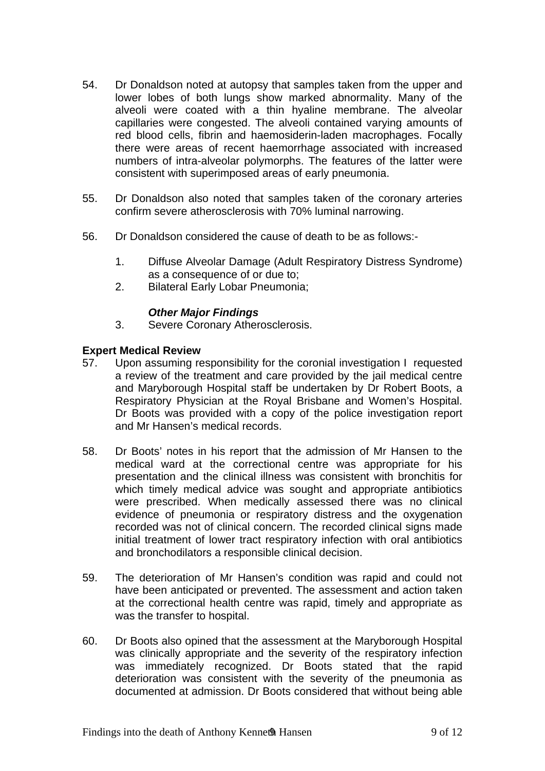- 54. Dr Donaldson noted at autopsy that samples taken from the upper and lower lobes of both lungs show marked abnormality. Many of the alveoli were coated with a thin hyaline membrane. The alveolar capillaries were congested. The alveoli contained varying amounts of red blood cells, fibrin and haemosiderin-laden macrophages. Focally there were areas of recent haemorrhage associated with increased numbers of intra-alveolar polymorphs. The features of the latter were consistent with superimposed areas of early pneumonia.
- 55. Dr Donaldson also noted that samples taken of the coronary arteries confirm severe atherosclerosis with 70% luminal narrowing.
- 56. Dr Donaldson considered the cause of death to be as follows:-
	- 1. Diffuse Alveolar Damage (Adult Respiratory Distress Syndrome) as a consequence of or due to;
	- 2. Bilateral Early Lobar Pneumonia;

#### *Other Major Findings*

3. Severe Coronary Atherosclerosis.

#### **Expert Medical Review**

- 57. Upon assuming responsibility for the coronial investigation I requested a review of the treatment and care provided by the jail medical centre and Maryborough Hospital staff be undertaken by Dr Robert Boots, a Respiratory Physician at the Royal Brisbane and Women's Hospital. Dr Boots was provided with a copy of the police investigation report and Mr Hansen's medical records.
- 58. Dr Boots' notes in his report that the admission of Mr Hansen to the medical ward at the correctional centre was appropriate for his presentation and the clinical illness was consistent with bronchitis for which timely medical advice was sought and appropriate antibiotics were prescribed. When medically assessed there was no clinical evidence of pneumonia or respiratory distress and the oxygenation recorded was not of clinical concern. The recorded clinical signs made initial treatment of lower tract respiratory infection with oral antibiotics and bronchodilators a responsible clinical decision.
- 59. The deterioration of Mr Hansen's condition was rapid and could not have been anticipated or prevented. The assessment and action taken at the correctional health centre was rapid, timely and appropriate as was the transfer to hospital.
- 60. Dr Boots also opined that the assessment at the Maryborough Hospital was clinically appropriate and the severity of the respiratory infection was immediately recognized. Dr Boots stated that the rapid deterioration was consistent with the severity of the pneumonia as documented at admission. Dr Boots considered that without being able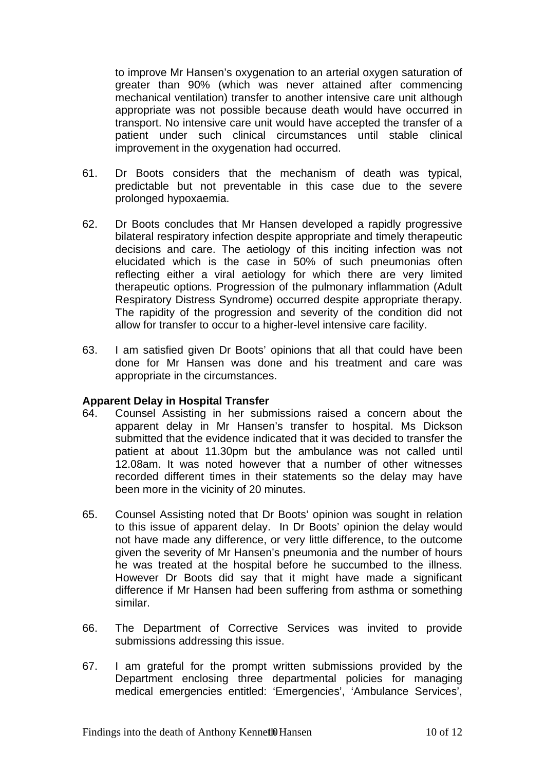to improve Mr Hansen's oxygenation to an arterial oxygen saturation of greater than 90% (which was never attained after commencing mechanical ventilation) transfer to another intensive care unit although appropriate was not possible because death would have occurred in transport. No intensive care unit would have accepted the transfer of a patient under such clinical circumstances until stable clinical improvement in the oxygenation had occurred.

- 61. Dr Boots considers that the mechanism of death was typical, predictable but not preventable in this case due to the severe prolonged hypoxaemia.
- 62. Dr Boots concludes that Mr Hansen developed a rapidly progressive bilateral respiratory infection despite appropriate and timely therapeutic decisions and care. The aetiology of this inciting infection was not elucidated which is the case in 50% of such pneumonias often reflecting either a viral aetiology for which there are very limited therapeutic options. Progression of the pulmonary inflammation (Adult Respiratory Distress Syndrome) occurred despite appropriate therapy. The rapidity of the progression and severity of the condition did not allow for transfer to occur to a higher-level intensive care facility.
- 63. I am satisfied given Dr Boots' opinions that all that could have been done for Mr Hansen was done and his treatment and care was appropriate in the circumstances.

#### **Apparent Delay in Hospital Transfer**

- 64. Counsel Assisting in her submissions raised a concern about the apparent delay in Mr Hansen's transfer to hospital. Ms Dickson submitted that the evidence indicated that it was decided to transfer the patient at about 11.30pm but the ambulance was not called until 12.08am. It was noted however that a number of other witnesses recorded different times in their statements so the delay may have been more in the vicinity of 20 minutes.
- 65. Counsel Assisting noted that Dr Boots' opinion was sought in relation to this issue of apparent delay. In Dr Boots' opinion the delay would not have made any difference, or very little difference, to the outcome given the severity of Mr Hansen's pneumonia and the number of hours he was treated at the hospital before he succumbed to the illness. However Dr Boots did say that it might have made a significant difference if Mr Hansen had been suffering from asthma or something similar.
- 66. The Department of Corrective Services was invited to provide submissions addressing this issue.
- 67. I am grateful for the prompt written submissions provided by the Department enclosing three departmental policies for managing medical emergencies entitled: 'Emergencies', 'Ambulance Services',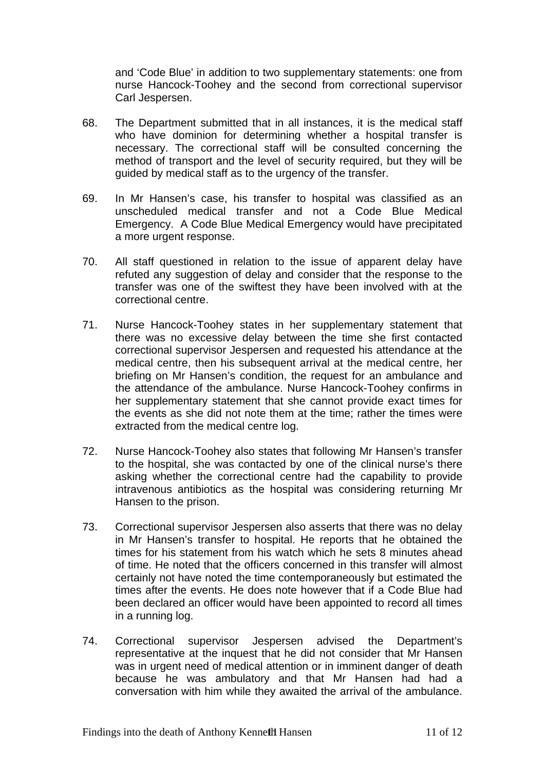and 'Code Blue' in addition to two supplementary statements: one from nurse Hancock-Toohey and the second from correctional supervisor Carl Jespersen.

- 68. The Department submitted that in all instances, it is the medical staff who have dominion for determining whether a hospital transfer is necessary. The correctional staff will be consulted concerning the method of transport and the level of security required, but they will be guided by medical staff as to the urgency of the transfer.
- 69. In Mr Hansen's case, his transfer to hospital was classified as an unscheduled medical transfer and not a Code Blue Medical Emergency. A Code Blue Medical Emergency would have precipitated a more urgent response.
- 70. All staff questioned in relation to the issue of apparent delay have refuted any suggestion of delay and consider that the response to the transfer was one of the swiftest they have been involved with at the correctional centre.
- 71. Nurse Hancock-Toohey states in her supplementary statement that there was no excessive delay between the time she first contacted correctional supervisor Jespersen and requested his attendance at the medical centre, then his subsequent arrival at the medical centre, her briefing on Mr Hansen's condition, the request for an ambulance and the attendance of the ambulance. Nurse Hancock-Toohey confirms in her supplementary statement that she cannot provide exact times for the events as she did not note them at the time; rather the times were extracted from the medical centre log.
- 72. Nurse Hancock-Toohey also states that following Mr Hansen's transfer to the hospital, she was contacted by one of the clinical nurse's there asking whether the correctional centre had the capability to provide intravenous antibiotics as the hospital was considering returning Mr Hansen to the prison.
- 73. Correctional supervisor Jespersen also asserts that there was no delay in Mr Hansen's transfer to hospital. He reports that he obtained the times for his statement from his watch which he sets 8 minutes ahead of time. He noted that the officers concerned in this transfer will almost certainly not have noted the time contemporaneously but estimated the times after the events. He does note however that if a Code Blue had been declared an officer would have been appointed to record all times in a running log.
- 74. Correctional supervisor Jespersen advised the Department's representative at the inquest that he did not consider that Mr Hansen was in urgent need of medical attention or in imminent danger of death because he was ambulatory and that Mr Hansen had had a conversation with him while they awaited the arrival of the ambulance.